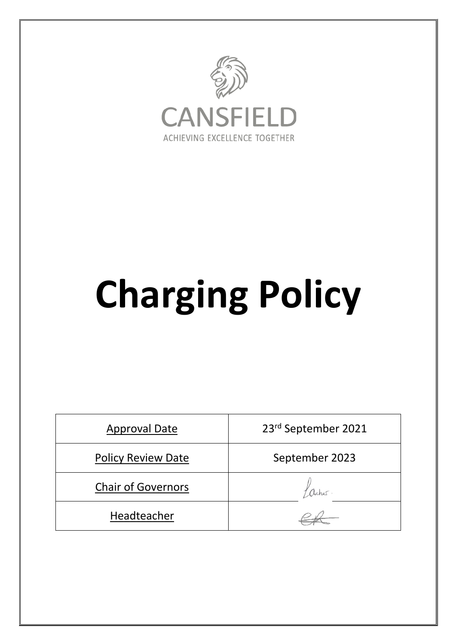

# **Charging Policy**

| <b>Approval Date</b>      | 23rd September 2021 |
|---------------------------|---------------------|
| Policy Review Date        | September 2023      |
| <b>Chair of Governors</b> |                     |
| Headteacher               |                     |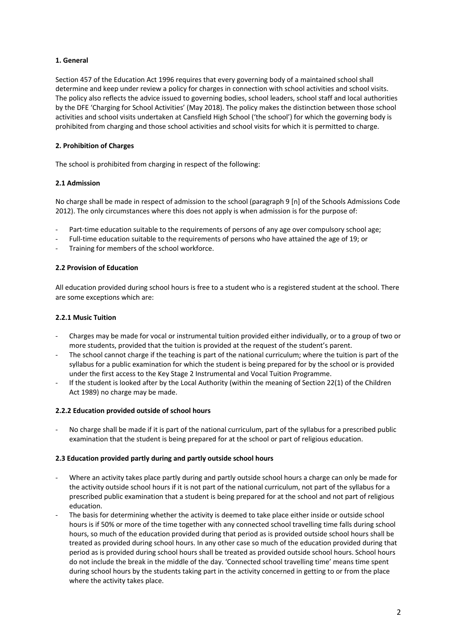# **1. General**

Section 457 of the Education Act 1996 requires that every governing body of a maintained school shall determine and keep under review a policy for charges in connection with school activities and school visits. The policy also reflects the advice issued to governing bodies, school leaders, school staff and local authorities by the DFE 'Charging for School Activities' (May 2018). The policy makes the distinction between those school activities and school visits undertaken at Cansfield High School ('the school') for which the governing body is prohibited from charging and those school activities and school visits for which it is permitted to charge.

# **2. Prohibition of Charges**

The school is prohibited from charging in respect of the following:

# **2.1 Admission**

No charge shall be made in respect of admission to the school (paragraph 9 [n] of the Schools Admissions Code 2012). The only circumstances where this does not apply is when admission is for the purpose of:

- Part-time education suitable to the requirements of persons of any age over compulsory school age;
- Full-time education suitable to the requirements of persons who have attained the age of 19; or
- Training for members of the school workforce.

# **2.2 Provision of Education**

All education provided during school hours is free to a student who is a registered student at the school. There are some exceptions which are:

#### **2.2.1 Music Tuition**

- Charges may be made for vocal or instrumental tuition provided either individually, or to a group of two or more students, provided that the tuition is provided at the request of the student's parent.
- The school cannot charge if the teaching is part of the national curriculum; where the tuition is part of the syllabus for a public examination for which the student is being prepared for by the school or is provided under the first access to the Key Stage 2 Instrumental and Vocal Tuition Programme.
- If the student is looked after by the Local Authority (within the meaning of Section 22(1) of the Children Act 1989) no charge may be made.

#### **2.2.2 Education provided outside of school hours**

No charge shall be made if it is part of the national curriculum, part of the syllabus for a prescribed public examination that the student is being prepared for at the school or part of religious education.

# **2.3 Education provided partly during and partly outside school hours**

- Where an activity takes place partly during and partly outside school hours a charge can only be made for the activity outside school hours if it is not part of the national curriculum, not part of the syllabus for a prescribed public examination that a student is being prepared for at the school and not part of religious education.
- The basis for determining whether the activity is deemed to take place either inside or outside school hours is if 50% or more of the time together with any connected school travelling time falls during school hours, so much of the education provided during that period as is provided outside school hours shall be treated as provided during school hours. In any other case so much of the education provided during that period as is provided during school hours shall be treated as provided outside school hours. School hours do not include the break in the middle of the day. 'Connected school travelling time' means time spent during school hours by the students taking part in the activity concerned in getting to or from the place where the activity takes place.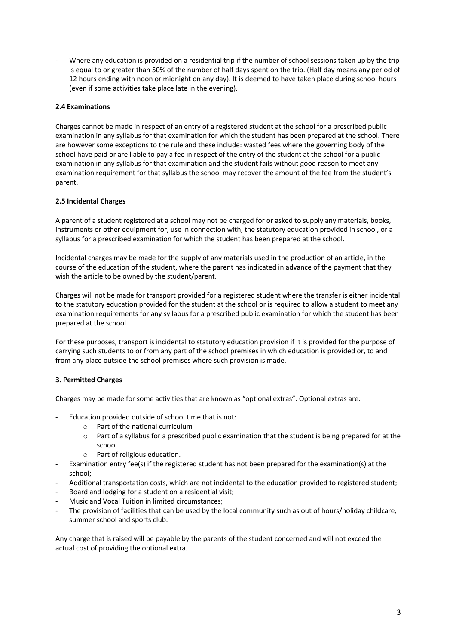- Where any education is provided on a residential trip if the number of school sessions taken up by the trip is equal to or greater than 50% of the number of half days spent on the trip. (Half day means any period of 12 hours ending with noon or midnight on any day). It is deemed to have taken place during school hours (even if some activities take place late in the evening).

# **2.4 Examinations**

Charges cannot be made in respect of an entry of a registered student at the school for a prescribed public examination in any syllabus for that examination for which the student has been prepared at the school. There are however some exceptions to the rule and these include: wasted fees where the governing body of the school have paid or are liable to pay a fee in respect of the entry of the student at the school for a public examination in any syllabus for that examination and the student fails without good reason to meet any examination requirement for that syllabus the school may recover the amount of the fee from the student's parent.

#### **2.5 Incidental Charges**

A parent of a student registered at a school may not be charged for or asked to supply any materials, books, instruments or other equipment for, use in connection with, the statutory education provided in school, or a syllabus for a prescribed examination for which the student has been prepared at the school.

Incidental charges may be made for the supply of any materials used in the production of an article, in the course of the education of the student, where the parent has indicated in advance of the payment that they wish the article to be owned by the student/parent.

Charges will not be made for transport provided for a registered student where the transfer is either incidental to the statutory education provided for the student at the school or is required to allow a student to meet any examination requirements for any syllabus for a prescribed public examination for which the student has been prepared at the school.

For these purposes, transport is incidental to statutory education provision if it is provided for the purpose of carrying such students to or from any part of the school premises in which education is provided or, to and from any place outside the school premises where such provision is made.

# **3. Permitted Charges**

Charges may be made for some activities that are known as "optional extras". Optional extras are:

- Education provided outside of school time that is not:
	- o Part of the national curriculum
		- $\circ$  Part of a syllabus for a prescribed public examination that the student is being prepared for at the school
		- o Part of religious education.
- Examination entry fee(s) if the registered student has not been prepared for the examination(s) at the school;
- Additional transportation costs, which are not incidental to the education provided to registered student;
- Board and lodging for a student on a residential visit;
- Music and Vocal Tuition in limited circumstances:
- The provision of facilities that can be used by the local community such as out of hours/holiday childcare, summer school and sports club.

Any charge that is raised will be payable by the parents of the student concerned and will not exceed the actual cost of providing the optional extra.